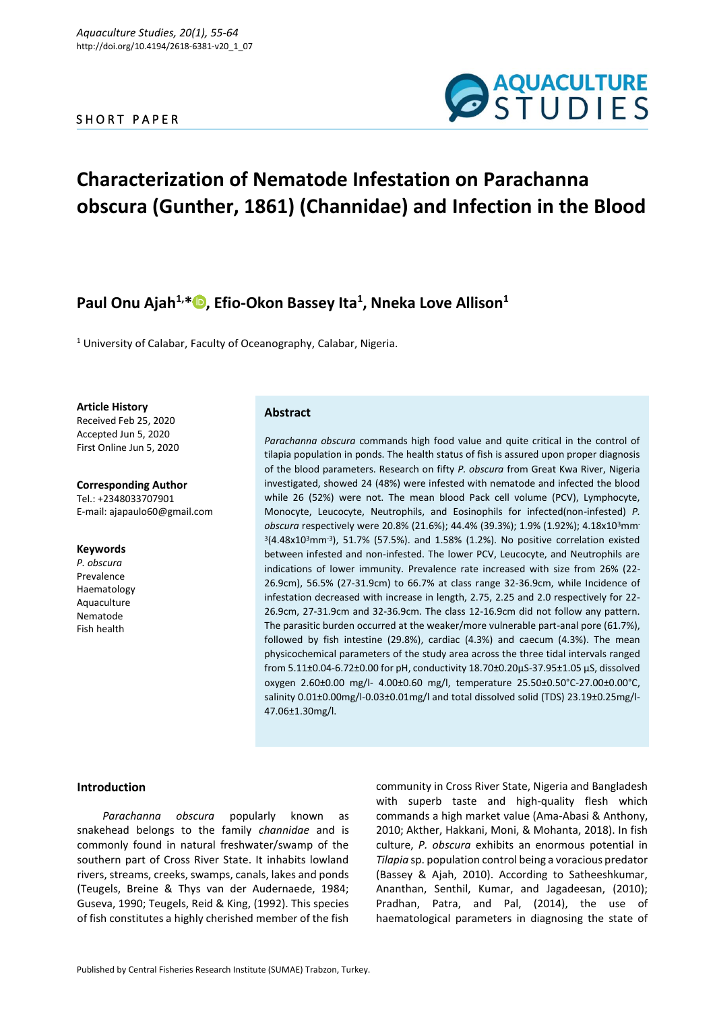# SHORT PAPER



# **Characterization of Nematode Infestation on Parachanna obscura (Gunther, 1861) (Channidae) and Infection in the Blood**

# **Paul Onu Ajah1,\* [,](https://orcid.org/0000-0002-0496-8006) Efio-Okon Bassey Ita<sup>1</sup> , Nneka Love Allison<sup>1</sup>**

<sup>1</sup> University of Calabar, Faculty of Oceanography, Calabar, Nigeria.

**Article History** Received Feb 25, 2020 Accepted Jun 5, 2020 First Online Jun 5, 2020

**Corresponding Author** Tel.: +2348033707901 E-mail: ajapaulo60@gmail.com

#### **Keywords**

*P. obscura* Prevalence Haematology Aquaculture Nematode Fish health

# **Abstract**

*Parachanna obscura* commands high food value and quite critical in the control of tilapia population in ponds. The health status of fish is assured upon proper diagnosis of the blood parameters. Research on fifty *P. obscura* from Great Kwa River, Nigeria investigated, showed 24 (48%) were infested with nematode and infected the blood while 26 (52%) were not. The mean blood Pack cell volume (PCV), Lymphocyte, Monocyte, Leucocyte, Neutrophils, and Eosinophils for infected(non-infested) *P. obscura* respectively were 20.8% (21.6%); 44.4% (39.3%); 1.9% (1.92%); 4.18x10<sup>3</sup>mm- $3(4.48 \times 10^{3} \text{mm}^{-3})$ , 51.7% (57.5%). and 1.58% (1.2%). No positive correlation existed between infested and non-infested. The lower PCV, Leucocyte, and Neutrophils are indications of lower immunity. Prevalence rate increased with size from 26% (22- 26.9cm), 56.5% (27-31.9cm) to 66.7% at class range 32-36.9cm, while Incidence of infestation decreased with increase in length, 2.75, 2.25 and 2.0 respectively for 22- 26.9cm, 27-31.9cm and 32-36.9cm. The class 12-16.9cm did not follow any pattern. The parasitic burden occurred at the weaker/more vulnerable part-anal pore (61.7%), followed by fish intestine (29.8%), cardiac (4.3%) and caecum (4.3%). The mean physicochemical parameters of the study area across the three tidal intervals ranged from 5.11±0.04-6.72±0.00 for pH, conductivity 18.70±0.20µS-37.95±1.05 µS, dissolved oxygen 2.60±0.00 mg/l- 4.00±0.60 mg/l, temperature 25.50±0.50°C-27.00±0.00°C, salinity 0.01±0.00mg/l-0.03±0.01mg/l and total dissolved solid (TDS) 23.19±0.25mg/l-47.06±1.30mg/l.

# **Introduction**

*Parachanna obscura* popularly known as snakehead belongs to the family *channidae* and is commonly found in natural freshwater/swamp of the southern part of Cross River State. It inhabits lowland rivers, streams, creeks, swamps, canals, lakes and ponds (Teugels, Breine & Thys van der Audernaede, 1984; Guseva, 1990; Teugels, Reid & King, (1992). This species of fish constitutes a highly cherished member of the fish community in Cross River State, Nigeria and Bangladesh with superb taste and high-quality flesh which commands a high market value (Ama-Abasi & Anthony, 2010; Akther, Hakkani, Moni, & Mohanta, 2018). In fish culture, *P. obscura* exhibits an enormous potential in *Tilapia* sp. population control being a voracious predator (Bassey & Ajah, 2010). According to Satheeshkumar, Ananthan, Senthil, Kumar, and Jagadeesan, (2010); Pradhan, Patra, and Pal, (2014), the use of haematological parameters in diagnosing the state of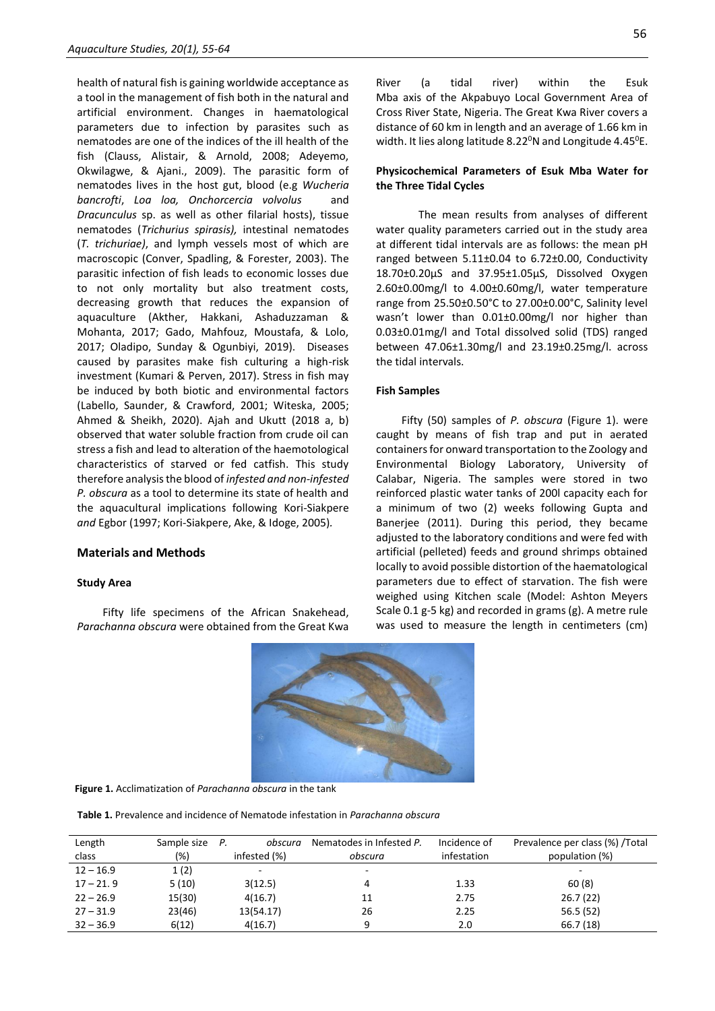health of natural fish is gaining worldwide acceptance as a tool in the management of fish both in the natural and artificial environment. Changes in haematological parameters due to infection by parasites such as nematodes are one of the indices of the ill health of the fish (Clauss, Alistair, & Arnold, 2008; Adeyemo, Okwilagwe, & Ajani., 2009). The parasitic form of nematodes lives in the host gut, blood (e.g *Wucheria bancrofti*, *Loa loa, Onchorcercia volvolus* and *Dracunculus* sp. as well as other filarial hosts), tissue nematodes (*Trichurius spirasis),* intestinal nematodes (*T. trichuriae)*, and lymph vessels most of which are macroscopic (Conver, Spadling, & Forester, 2003). The parasitic infection of fish leads to economic losses due to not only mortality but also treatment costs, decreasing growth that reduces the expansion of aquaculture (Akther, Hakkani, Ashaduzzaman & Mohanta, 2017; Gado, Mahfouz, Moustafa, & Lolo, 2017; Oladipo, Sunday & Ogunbiyi, 2019). Diseases caused by parasites make fish culturing a high-risk investment (Kumari & Perven, 2017). Stress in fish may be induced by both biotic and environmental factors (Labello, Saunder, & Crawford, 2001; Witeska, 2005; Ahmed & Sheikh, 2020). Ajah and Ukutt (2018 a, b) observed that water soluble fraction from crude oil can stress a fish and lead to alteration of the haemotological characteristics of starved or fed catfish. This study therefore analysis the blood of *infested and non-infested P. obscura* as a tool to determine its state of health and the aquacultural implications following Kori-Siakpere *and* Egbor (1997; Kori-Siakpere, Ake, & Idoge, 2005)*.*

### **Materials and Methods**

### **Study Area**

Fifty life specimens of the African Snakehead, *Parachanna obscura* were obtained from the Great Kwa 56

River (a tidal river) within the Esuk Mba axis of the Akpabuyo Local Government Area of Cross River State, Nigeria. The Great Kwa River covers a distance of 60 km in length and an average of 1.66 km in width. It lies along latitude 8.22 $\textdegree$ N and Longitude 4.45 $\textdegree$ E.

# **Physicochemical Parameters of Esuk Mba Water for the Three Tidal Cycles**

The mean results from analyses of different water quality parameters carried out in the study area at different tidal intervals are as follows: the mean pH ranged between 5.11±0.04 to 6.72±0.00, Conductivity 18.70±0.20µS and 37.95±1.05µS, Dissolved Oxygen 2.60±0.00mg/l to 4.00±0.60mg/l, water temperature range from 25.50±0.50°C to 27.00±0.00°C, Salinity level wasn't lower than 0.01±0.00mg/l nor higher than 0.03±0.01mg/l and Total dissolved solid (TDS) ranged between 47.06±1.30mg/l and 23.19±0.25mg/l. across the tidal intervals.

# **Fish Samples**

Fifty (50) samples of *P. obscura* (Figure 1). were caught by means of fish trap and put in aerated containers for onward transportation to the Zoology and Environmental Biology Laboratory, University of Calabar, Nigeria. The samples were stored in two reinforced plastic water tanks of 200l capacity each for a minimum of two (2) weeks following Gupta and Banerjee (2011). During this period, they became adjusted to the laboratory conditions and were fed with artificial (pelleted) feeds and ground shrimps obtained locally to avoid possible distortion of the haematological parameters due to effect of starvation. The fish were weighed using Kitchen scale (Model: Ashton Meyers Scale 0.1 g-5 kg) and recorded in grams (g). A metre rule was used to measure the length in centimeters (cm)



**Figure 1.** Acclimatization of *Parachanna obscura* in the tank

**Table 1.** Prevalence and incidence of Nematode infestation in *Parachanna obscura*

| Length<br>class | Sample size<br>(%) | Р.<br>obscura<br>infested (%) | Nematodes in Infested P.<br>obscura | Incidence of<br>infestation | Prevalence per class (%) / Total<br>population (%) |
|-----------------|--------------------|-------------------------------|-------------------------------------|-----------------------------|----------------------------------------------------|
| $12 - 16.9$     | 1(2)               |                               | ۰                                   |                             | ۰                                                  |
| $17 - 21.9$     | 5(10)              | 3(12.5)                       | 4                                   | 1.33                        | 60(8)                                              |
| $22 - 26.9$     | 15(30)             | 4(16.7)                       | 11                                  | 2.75                        | 26.7(22)                                           |
| $27 - 31.9$     | 23(46)             | 13(54.17)                     | 26                                  | 2.25                        | 56.5(52)                                           |
| $32 - 36.9$     | 6(12)              | 4(16.7)                       | q                                   | 2.0                         | 66.7(18)                                           |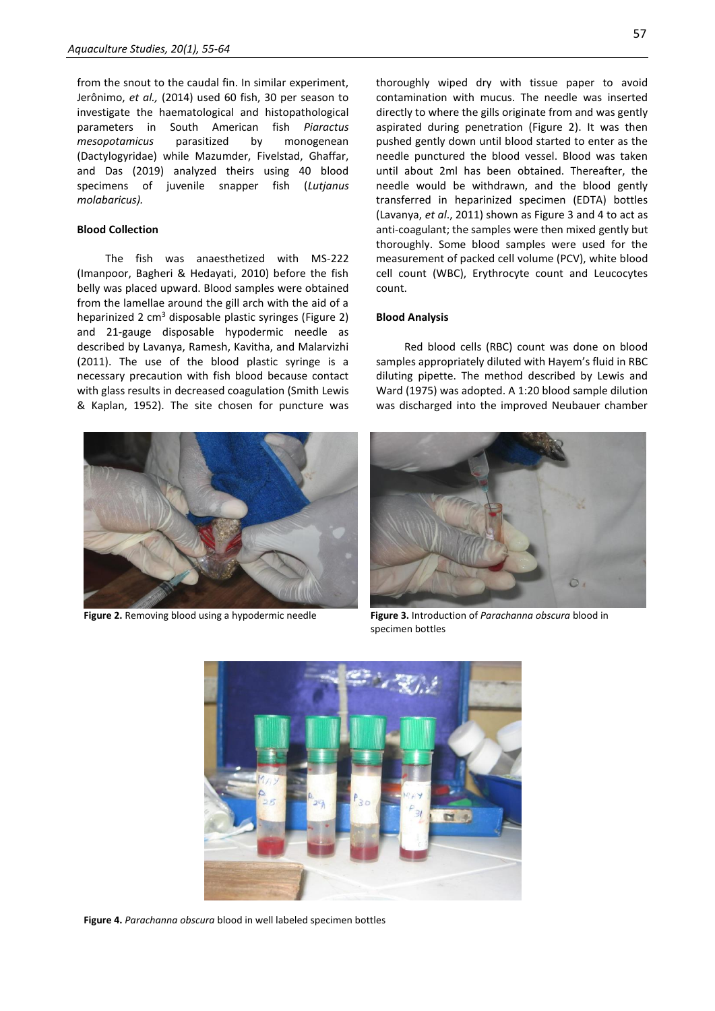from the snout to the caudal fin. In similar experiment, Jerônimo, *et al.,* (2014) used 60 fish, 30 per season to investigate the haematological and histopathological parameters in South American fish *Piaractus mesopotamicus* parasitized by monogenean (Dactylogyridae) while Mazumder, Fivelstad, Ghaffar, and Das (2019) analyzed theirs using 40 blood specimens of juvenile snapper fish (*Lutjanus molabaricus).*

# **Blood Collection**

The fish was anaesthetized with MS-222 (Imanpoor, Bagheri & Hedayati, 2010) before the fish belly was placed upward. Blood samples were obtained from the lamellae around the gill arch with the aid of a heparinized 2  $\text{cm}^3$  disposable plastic syringes (Figure 2) and 21-gauge disposable hypodermic needle as described by Lavanya, Ramesh, Kavitha, and Malarvizhi (2011). The use of the blood plastic syringe is a necessary precaution with fish blood because contact with glass results in decreased coagulation (Smith Lewis & Kaplan, 1952). The site chosen for puncture was



thoroughly wiped dry with tissue paper to avoid contamination with mucus. The needle was inserted directly to where the gills originate from and was gently aspirated during penetration (Figure 2). It was then pushed gently down until blood started to enter as the needle punctured the blood vessel. Blood was taken until about 2ml has been obtained. Thereafter, the needle would be withdrawn, and the blood gently transferred in heparinized specimen (EDTA) bottles (Lavanya, *et al*., 2011) shown as Figure 3 and 4 to act as anti-coagulant; the samples were then mixed gently but thoroughly. Some blood samples were used for the measurement of packed cell volume (PCV), white blood cell count (WBC), Erythrocyte count and Leucocytes count.

### **Blood Analysis**

Red blood cells (RBC) count was done on blood samples appropriately diluted with Hayem's fluid in RBC diluting pipette. The method described by Lewis and Ward (1975) was adopted. A 1:20 blood sample dilution was discharged into the improved Neubauer chamber



**Figure 2.** Removing blood using a hypodermic needle **Figure 3.** Introduction of *Parachanna obscura* blood in specimen bottles



**Figure 4.** *Parachanna obscura* blood in well labeled specimen bottles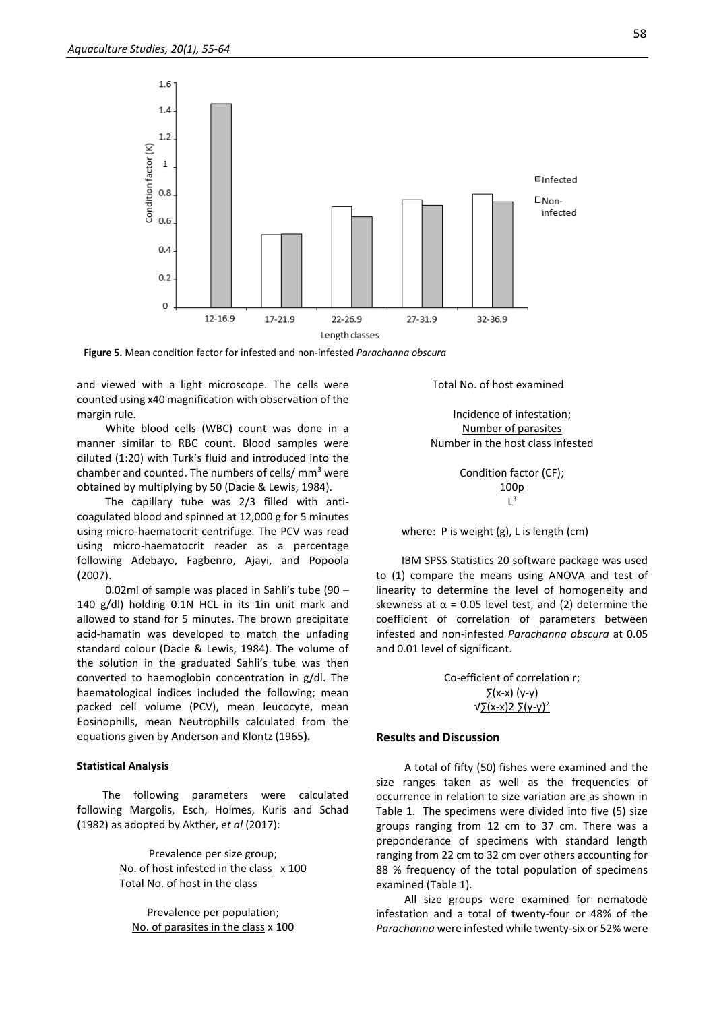

**Figure 5.** Mean condition factor for infested and non-infested *Parachanna obscura*

and viewed with a light microscope. The cells were counted using x40 magnification with observation of the margin rule.

White blood cells (WBC) count was done in a manner similar to RBC count. Blood samples were diluted (1:20) with Turk's fluid and introduced into the chamber and counted. The numbers of cells/ $\text{mm}^3$  were obtained by multiplying by 50 (Dacie & Lewis, 1984).

The capillary tube was 2/3 filled with anticoagulated blood and spinned at 12,000 g for 5 minutes using micro-haematocrit centrifuge. The PCV was read using micro-haematocrit reader as a percentage following Adebayo, Fagbenro, Ajayi, and Popoola (2007).

0.02ml of sample was placed in Sahli's tube (90 – 140 g/dl) holding 0.1N HCL in its 1in unit mark and allowed to stand for 5 minutes. The brown precipitate acid-hamatin was developed to match the unfading standard colour (Dacie & Lewis, 1984). The volume of the solution in the graduated Sahli's tube was then converted to haemoglobin concentration in g/dl. The haematological indices included the following; mean packed cell volume (PCV), mean leucocyte, mean Eosinophills, mean Neutrophills calculated from the equations given by Anderson and Klontz (1965**).** 

# **Statistical Analysis**

The following parameters were calculated following Margolis, Esch, Holmes, Kuris and Schad (1982) as adopted by Akther, *et al* (2017):

> Prevalence per size group; No. of host infested in the class x 100 Total No. of host in the class

Prevalence per population; No. of parasites in the class x 100 Total No. of host examined

Incidence of infestation; Number of parasites Number in the host class infested

> Condition factor (CF); 100p  $L^3$

where: P is weight (g), L is length (cm)

IBM SPSS Statistics 20 software package was used to (1) compare the means using ANOVA and test of linearity to determine the level of homogeneity and skewness at  $\alpha$  = 0.05 level test, and (2) determine the coefficient of correlation of parameters between infested and non-infested *Parachanna obscura* at 0.05 and 0.01 level of significant.

> Co-efficient of correlation r;  $(\mathsf{x}-\mathsf{x})$  (y-y) √∑(x-x)2 ∑(y-y)<sup>2</sup>

#### **Results and Discussion**

A total of fifty (50) fishes were examined and the size ranges taken as well as the frequencies of occurrence in relation to size variation are as shown in Table 1. The specimens were divided into five (5) size groups ranging from 12 cm to 37 cm. There was a preponderance of specimens with standard length ranging from 22 cm to 32 cm over others accounting for 88 % frequency of the total population of specimens examined (Table 1).

All size groups were examined for nematode infestation and a total of twenty-four or 48% of the *Parachanna* were infested while twenty-six or 52% were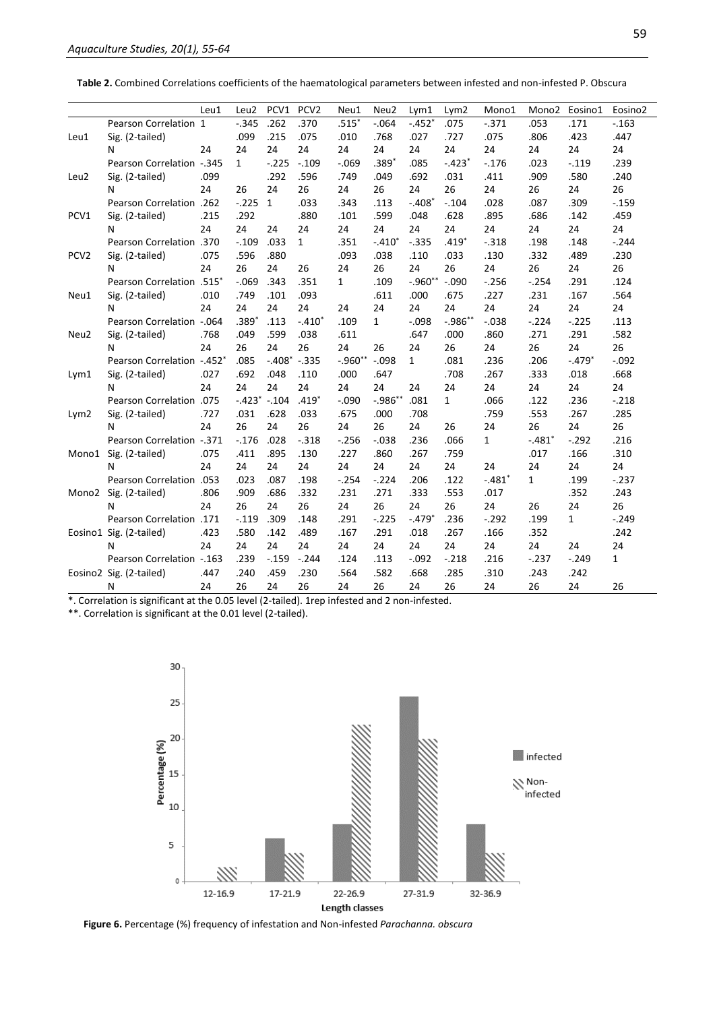**Table 2.** Combined Correlations coefficients of the haematological parameters between infested and non-infested P. Obscura

|                  |                                 | Leu1 | Leu2         | PCV1            | PCV <sub>2</sub> | Neu1         | Neu2         | Lym1         | Lym2         | Mono1        | Mono2        | Eosino1      | Eosino <sub>2</sub> |
|------------------|---------------------------------|------|--------------|-----------------|------------------|--------------|--------------|--------------|--------------|--------------|--------------|--------------|---------------------|
|                  | Pearson Correlation 1           |      | $-.345$      | .262            | .370             | $.515*$      | $-.064$      | $-.452*$     | .075         | $-.371$      | .053         | .171         | $-.163$             |
| Leu1             | Sig. (2-tailed)                 |      | .099         | .215            | .075             | .010         | .768         | .027         | .727         | .075         | .806         | .423         | .447                |
|                  | N                               | 24   | 24           | 24              | 24               | 24           | 24           | 24           | 24           | 24           | 24           | 24           | 24                  |
|                  | Pearson Correlation -.345       |      | $\mathbf{1}$ | $-.225$         | $-.109$          | $-.069$      | $.389*$      | .085         | $-.423*$     | $-.176$      | .023         | $-.119$      | .239                |
| Leu2             | Sig. (2-tailed)                 | .099 |              | .292            | .596             | .749         | .049         | .692         | .031         | .411         | .909         | .580         | .240                |
|                  | N                               | 24   | 26           | 24              | 26               | 24           | 26           | 24           | 26           | 24           | 26           | 24           | 26                  |
| PCV1             | Pearson Correlation .262        |      | $-.225$      | $\mathbf{1}$    | .033             | .343         | .113         | $-.408*$     | $-.104$      | .028         | .087         | .309         | $-.159$             |
|                  | Sig. (2-tailed)                 | .215 | .292         |                 | .880             | .101         | .599         | .048         | .628         | .895         | .686         | .142         | .459                |
|                  | N                               | 24   | 24           | 24              | 24               | 24           | 24           | 24           | 24           | 24           | 24           | 24           | 24                  |
| PCV <sub>2</sub> | <b>Pearson Correlation</b> .370 |      | $-.109$      | .033            | $\mathbf{1}$     | .351         | $-.410*$     | $-.335$      | $.419*$      | $-.318$      | .198         | .148         | $-.244$             |
|                  | Sig. (2-tailed)                 | .075 | .596         | .880            |                  | .093         | .038         | .110         | .033         | .130         | .332         | .489         | .230                |
|                  | N                               | 24   | 26           | 24              | 26               | 24           | 26           | 24           | 26           | 24           | 26           | 24           | 26                  |
| Neu1             | Pearson Correlation .515*       |      | $-.069$      | .343            | .351             | $\mathbf{1}$ | .109         | $-.960**$    | $-.090$      | $-.256$      | $-.254$      | .291         | .124                |
|                  | Sig. (2-tailed)                 | .010 | .749         | .101            | .093             |              | .611         | .000         | .675         | .227         | .231         | .167         | .564                |
|                  | N                               | 24   | 24           | 24              | 24               | 24           | 24           | 24           | 24           | 24           | 24           | 24           | 24                  |
| Neu2             | Pearson Correlation -. 064      |      | $.389*$      | .113            | $-.410*$         | .109         | $\mathbf{1}$ | $-.098$      | $-0.986**$   | $-0.038$     | $-.224$      | $-.225$      | .113                |
|                  | Sig. (2-tailed)                 | .768 | .049         | .599            | .038             | .611         |              | .647         | .000         | .860         | .271         | .291         | .582                |
|                  | N                               | 24   | 26           | 24              | 26               | 24           | 26           | 24           | 26           | 24           | 26           | 24           | 26                  |
| Lym1             | Pearson Correlation -.452*      |      | .085         | $-.408$ $-.335$ |                  | $-.960$ **   | $-.098$      | $\mathbf{1}$ | .081         | .236         | .206         | $-.479*$     | $-.092$             |
|                  | Sig. (2-tailed)                 | .027 | .692         | .048            | .110             | .000         | .647         |              | .708         | .267         | .333         | .018         | .668                |
|                  | N                               | 24   | 24           | 24              | 24               | 24           | 24           | 24           | 24           | 24           | 24           | 24           | 24                  |
| Lym2             | Pearson Correlation .075        |      |              | $-.423$ $-.104$ | $.419*$          | $-.090$      | $-.986**$    | .081         | $\mathbf{1}$ | .066         | .122         | .236         | $-.218$             |
|                  | Sig. (2-tailed)                 | .727 | .031         | .628            | .033             | .675         | .000         | .708         |              | .759         | .553         | .267         | .285                |
|                  | N                               | 24   | 26           | 24              | 26               | 24           | 26           | 24           | 26           | 24           | 26           | 24           | 26                  |
| Mono1            | Pearson Correlation -.371       |      | $-.176$      | .028            | $-.318$          | $-.256$      | $-.038$      | .236         | .066         | $\mathbf{1}$ | $-.481*$     | $-.292$      | .216                |
|                  | Sig. (2-tailed)                 | .075 | .411         | .895            | .130             | .227         | .860         | .267         | .759         |              | .017         | .166         | .310                |
|                  | N                               | 24   | 24           | 24              | 24               | 24           | 24           | 24           | 24           | 24           | 24           | 24           | 24                  |
| Mono2            | <b>Pearson Correlation</b> .053 |      | .023         | .087            | .198             | $-.254$      | $-.224$      | .206         | .122         | $-.481*$     | $\mathbf{1}$ | .199         | $-.237$             |
|                  | Sig. (2-tailed)                 | .806 | .909         | .686            | .332             | .231         | .271         | .333         | .553         | .017         |              | .352         | .243                |
|                  | N                               | 24   | 26           | 24              | 26               | 24           | 26           | 24           | 26           | 24           | 26           | 24           | 26                  |
|                  | Pearson Correlation .171        |      | $-.119$      | .309            | .148             | .291         | $-.225$      | $-.479*$     | .236         | $-.292$      | .199         | $\mathbf{1}$ | $-.249$             |
|                  | Eosino1 Sig. (2-tailed)         | .423 | .580         | .142            | .489             | .167         | .291         | .018         | .267         | .166         | .352         |              | .242                |
|                  | N                               | 24   | 24           | 24              | 24               | 24           | 24           | 24           | 24           | 24           | 24           | 24           | 24                  |
|                  | Pearson Correlation -. 163      |      | .239         | $-.159$         | $-.244$          | .124         | .113         | $-.092$      | $-.218$      | .216         | $-.237$      | $-.249$      | 1                   |
|                  | Eosino2 Sig. (2-tailed)         | .447 | .240         | .459            | .230             | .564         | .582         | .668         | .285         | .310         | .243         | .242         |                     |
|                  | N                               | 24   | 26           | 24              | 26               | 24           | 26           | 24           | 26           | 24           | 26           | 24           | 26                  |

\*. Correlation is significant at the 0.05 level (2-tailed). 1rep infested and 2 non-infested.

\*\*. Correlation is significant at the 0.01 level (2-tailed).



**Figure 6.** Percentage (%) frequency of infestation and Non-infested *Parachanna. obscura*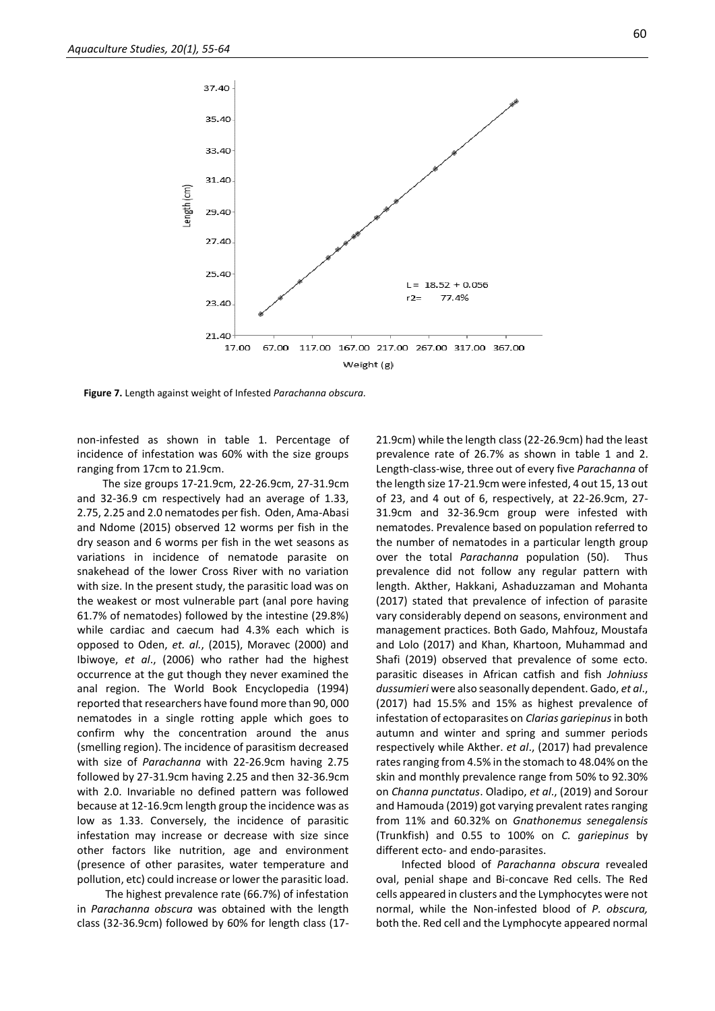

**Figure 7.** Length against weight of Infested *Parachanna obscura.*

non-infested as shown in table 1. Percentage of incidence of infestation was 60% with the size groups ranging from 17cm to 21.9cm.

The size groups 17-21.9cm, 22-26.9cm, 27-31.9cm and 32-36.9 cm respectively had an average of 1.33, 2.75, 2.25 and 2.0 nematodes per fish. Oden, Ama-Abasi and Ndome (2015) observed 12 worms per fish in the dry season and 6 worms per fish in the wet seasons as variations in incidence of nematode parasite on snakehead of the lower Cross River with no variation with size. In the present study, the parasitic load was on the weakest or most vulnerable part (anal pore having 61.7% of nematodes) followed by the intestine (29.8%) while cardiac and caecum had 4.3% each which is opposed to Oden, *et. al.*, (2015), Moravec (2000) and Ibiwoye, *et al*., (2006) who rather had the highest occurrence at the gut though they never examined the anal region. The World Book Encyclopedia (1994) reported that researchers have found more than 90, 000 nematodes in a single rotting apple which goes to confirm why the concentration around the anus (smelling region). The incidence of parasitism decreased with size of *Parachanna* with 22-26.9cm having 2.75 followed by 27-31.9cm having 2.25 and then 32-36.9cm with 2.0. Invariable no defined pattern was followed because at 12-16.9cm length group the incidence was as low as 1.33. Conversely, the incidence of parasitic infestation may increase or decrease with size since other factors like nutrition, age and environment (presence of other parasites, water temperature and pollution, etc) could increase or lower the parasitic load.

The highest prevalence rate (66.7%) of infestation in *Parachanna obscura* was obtained with the length class (32-36.9cm) followed by 60% for length class (17-

21.9cm) while the length class (22-26.9cm) had the least prevalence rate of 26.7% as shown in table 1 and 2. Length-class-wise, three out of every five *Parachanna* of the length size 17-21.9cm were infested, 4 out 15, 13 out of 23, and 4 out of 6, respectively, at 22-26.9cm, 27- 31.9cm and 32-36.9cm group were infested with nematodes. Prevalence based on population referred to the number of nematodes in a particular length group over the total *Parachanna* population (50). Thus prevalence did not follow any regular pattern with length. Akther, Hakkani, Ashaduzzaman and Mohanta (2017) stated that prevalence of infection of parasite vary considerably depend on seasons, environment and management practices. Both Gado, Mahfouz, Moustafa and Lolo (2017) and Khan, Khartoon, Muhammad and Shafi (2019) observed that prevalence of some ecto. parasitic diseases in African catfish and fish *Johniuss dussumieri* were also seasonally dependent. Gado, *et al*., (2017) had 15.5% and 15% as highest prevalence of infestation of ectoparasites on *Clarias gariepinus* in both autumn and winter and spring and summer periods respectively while Akther. *et al*., (2017) had prevalence rates ranging from 4.5% in the stomach to 48.04% on the skin and monthly prevalence range from 50% to 92.30% on *Channa punctatus*. Oladipo, *et al*., (2019) and Sorour and Hamouda (2019) got varying prevalent rates ranging from 11% and 60.32% on *Gnathonemus senegalensis* (Trunkfish) and 0.55 to 100% on *C. gariepinus* by different ecto- and endo-parasites.

Infected blood of *Parachanna obscura* revealed oval, penial shape and Bi-concave Red cells. The Red cells appeared in clusters and the Lymphocytes were not normal, while the Non-infested blood of *P. obscura,*  both the. Red cell and the Lymphocyte appeared normal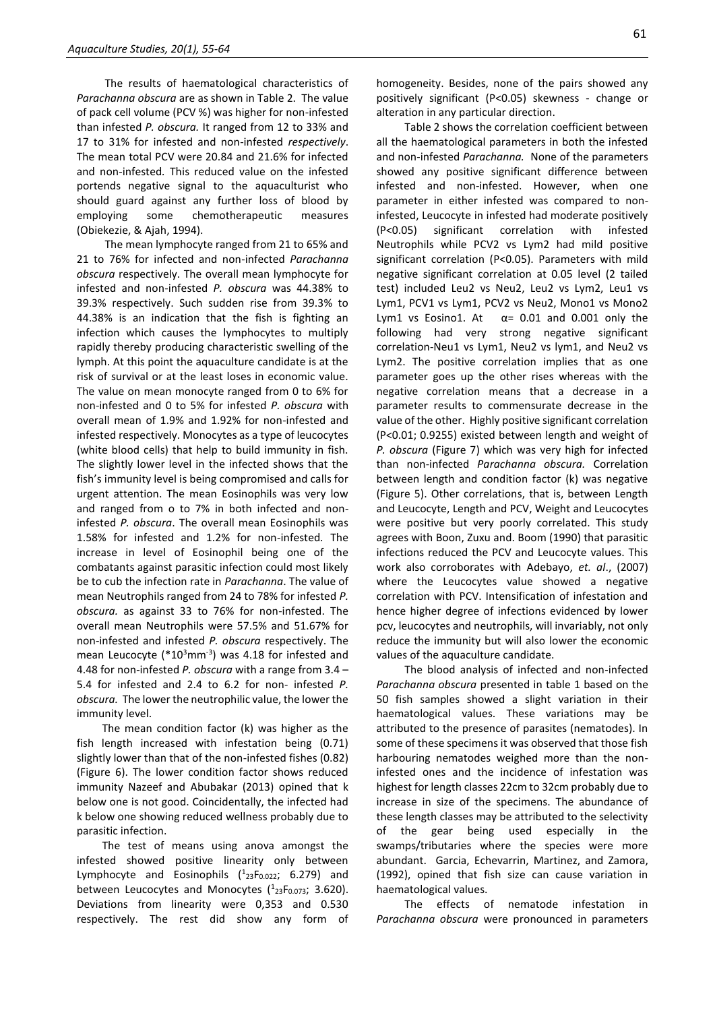The results of haematological characteristics of *Parachanna obscura* are as shown in Table 2. The value of pack cell volume (PCV %) was higher for non-infested than infested *P. obscura.* It ranged from 12 to 33% and 17 to 31% for infested and non-infested *respectively*. The mean total PCV were 20.84 and 21.6% for infected and non-infested*.* This reduced value on the infested portends negative signal to the aquaculturist who should guard against any further loss of blood by employing some chemotherapeutic measures (Obiekezie, & Ajah, 1994).

The mean lymphocyte ranged from 21 to 65% and 21 to 76% for infected and non-infected *Parachanna obscura* respectively. The overall mean lymphocyte for infested and non-infested *P. obscura* was 44.38% to 39.3% respectively. Such sudden rise from 39.3% to 44.38% is an indication that the fish is fighting an infection which causes the lymphocytes to multiply rapidly thereby producing characteristic swelling of the lymph. At this point the aquaculture candidate is at the risk of survival or at the least loses in economic value. The value on mean monocyte ranged from 0 to 6% for non-infested and 0 to 5% for infested *P. obscura* with overall mean of 1.9% and 1.92% for non-infested and infested respectively. Monocytes as a type of leucocytes (white blood cells) that help to build immunity in fish. The slightly lower level in the infected shows that the fish's immunity level is being compromised and calls for urgent attention. The mean Eosinophils was very low and ranged from o to 7% in both infected and noninfested *P. obscura*. The overall mean Eosinophils was 1.58% for infested and 1.2% for non-infested*.* The increase in level of Eosinophil being one of the combatants against parasitic infection could most likely be to cub the infection rate in *Parachanna*. The value of mean Neutrophils ranged from 24 to 78% for infested *P. obscura.* as against 33 to 76% for non-infested. The overall mean Neutrophils were 57.5% and 51.67% for non-infested and infested *P. obscura* respectively. The mean Leucocyte ( $*10<sup>3</sup>$ mm<sup>-3</sup>) was 4.18 for infested and 4.48 for non-infested *P. obscura* with a range from 3.4 – 5.4 for infested and 2.4 to 6.2 for non- infested *P. obscura.* The lower the neutrophilic value, the lower the immunity level.

The mean condition factor (k) was higher as the fish length increased with infestation being (0.71) slightly lower than that of the non-infested fishes (0.82) (Figure 6). The lower condition factor shows reduced immunity Nazeef and Abubakar (2013) opined that k below one is not good. Coincidentally, the infected had k below one showing reduced wellness probably due to parasitic infection.

The test of means using anova amongst the infested showed positive linearity only between Lymphocyte and Eosinophils  $(^1{}_{23}F_{0.022}; 6.279)$  and between Leucocytes and Monocytes  $(^{1}_{23}F_{0.073}; 3.620)$ . Deviations from linearity were 0,353 and 0.530 respectively. The rest did show any form of

homogeneity. Besides, none of the pairs showed any positively significant (P<0.05) skewness - change or alteration in any particular direction.

Table 2 shows the correlation coefficient between all the haematological parameters in both the infested and non-infested *Parachanna.* None of the parameters showed any positive significant difference between infested and non-infested. However, when one parameter in either infested was compared to noninfested, Leucocyte in infested had moderate positively (P<0.05) significant correlation with infested Neutrophils while PCV2 vs Lym2 had mild positive significant correlation (P<0.05). Parameters with mild negative significant correlation at 0.05 level (2 tailed test) included Leu2 vs Neu2, Leu2 vs Lym2, Leu1 vs Lym1, PCV1 vs Lym1, PCV2 vs Neu2, Mono1 vs Mono2 Lym1 vs Eosino1. At  $\alpha$  = 0.01 and 0.001 only the following had very strong negative significant correlation-Neu1 vs Lym1, Neu2 vs lym1, and Neu2 vs Lym2. The positive correlation implies that as one parameter goes up the other rises whereas with the negative correlation means that a decrease in a parameter results to commensurate decrease in the value of the other. Highly positive significant correlation (P<0.01; 0.9255) existed between length and weight of *P. obscura* (Figure 7) which was very high for infected than non-infected *Parachanna obscura.* Correlation between length and condition factor (k) was negative (Figure 5). Other correlations, that is, between Length and Leucocyte, Length and PCV, Weight and Leucocytes were positive but very poorly correlated. This study agrees with Boon, Zuxu and. Boom (1990) that parasitic infections reduced the PCV and Leucocyte values. This work also corroborates with Adebayo, *et. al*., (2007) where the Leucocytes value showed a negative correlation with PCV. Intensification of infestation and hence higher degree of infections evidenced by lower pcv, leucocytes and neutrophils, will invariably, not only reduce the immunity but will also lower the economic values of the aquaculture candidate.

The blood analysis of infected and non-infected *Parachanna obscura* presented in table 1 based on the 50 fish samples showed a slight variation in their haematological values. These variations may be attributed to the presence of parasites (nematodes). In some of these specimens it was observed that those fish harbouring nematodes weighed more than the noninfested ones and the incidence of infestation was highest for length classes 22cm to 32cm probably due to increase in size of the specimens. The abundance of these length classes may be attributed to the selectivity of the gear being used especially in the swamps/tributaries where the species were more abundant. Garcia, Echevarrin, Martinez, and Zamora, (1992), opined that fish size can cause variation in haematological values.

The effects of nematode infestation in *Parachanna obscura* were pronounced in parameters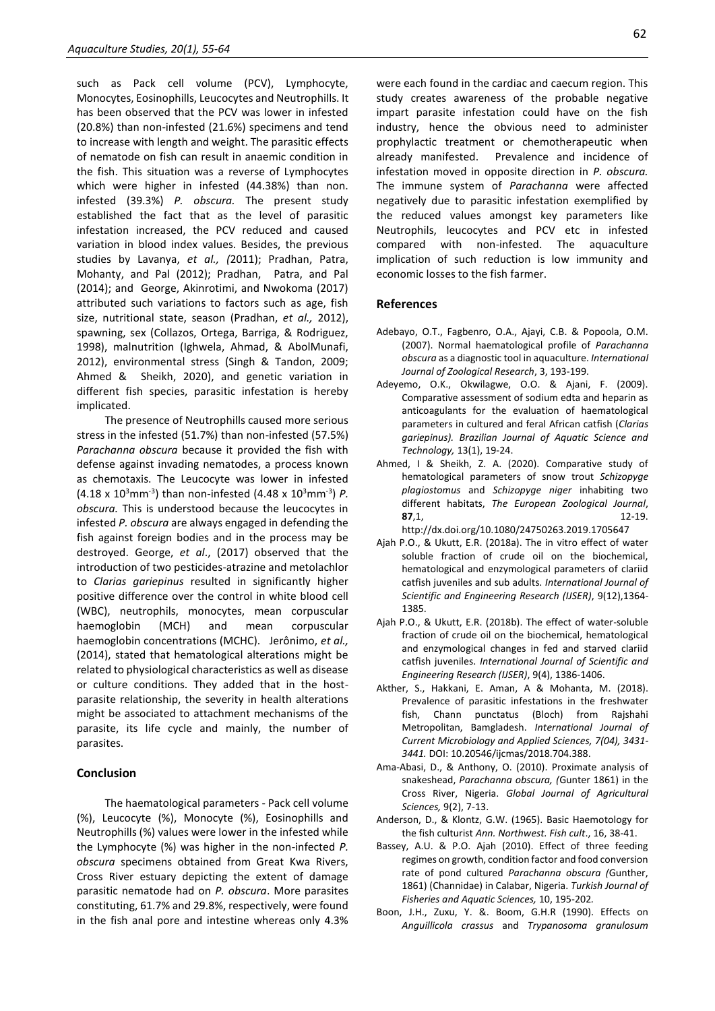such as Pack cell volume (PCV), Lymphocyte, Monocytes, Eosinophills, Leucocytes and Neutrophills. It has been observed that the PCV was lower in infested (20.8%) than non-infested (21.6%) specimens and tend to increase with length and weight. The parasitic effects of nematode on fish can result in anaemic condition in the fish. This situation was a reverse of Lymphocytes which were higher in infested (44.38%) than non. infested (39.3%) *P. obscura.* The present study established the fact that as the level of parasitic infestation increased, the PCV reduced and caused variation in blood index values. Besides, the previous studies by Lavanya, *et al., (*2011); Pradhan, Patra, Mohanty, and Pal (2012); Pradhan, Patra, and Pal (2014); and George, Akinrotimi, and Nwokoma (2017) attributed such variations to factors such as age, fish size, nutritional state, season (Pradhan, *et al.,* 2012), spawning, sex (Collazos, Ortega, Barriga, & Rodriguez, 1998), malnutrition (Ighwela, Ahmad, & AbolMunafi, 2012), environmental stress (Singh & Tandon, 2009; Ahmed & Sheikh, 2020), and genetic variation in different fish species, parasitic infestation is hereby implicated.

The presence of Neutrophills caused more serious stress in the infested (51.7%) than non-infested (57.5%) *Parachanna obscura* because it provided the fish with defense against invading nematodes, a process known as chemotaxis. The Leucocyte was lower in infested (4.18 x 10<sup>3</sup>mm<sup>-3</sup>) than non-infested (4.48 x 10<sup>3</sup>mm<sup>-3</sup>) P. *obscura.* This is understood because the leucocytes in infested *P. obscura* are always engaged in defending the fish against foreign bodies and in the process may be destroyed. George, *et al*., (2017) observed that the introduction of two pesticides-atrazine and metolachlor to *Clarias gariepinus* resulted in significantly higher positive difference over the control in white blood cell (WBC), neutrophils, monocytes, mean corpuscular haemoglobin (MCH) and mean corpuscular haemoglobin concentrations (MCHC). Jerônimo, *et al.,* (2014), stated that hematological alterations might be related to physiological characteristics as well as disease or culture conditions. They added that in the hostparasite relationship, the severity in health alterations might be associated to attachment mechanisms of the parasite, its life cycle and mainly, the number of parasites.

# **Conclusion**

The haematological parameters - Pack cell volume (%), Leucocyte (%), Monocyte (%), Eosinophills and Neutrophills (%) values were lower in the infested while the Lymphocyte (%) was higher in the non-infected *P. obscura* specimens obtained from Great Kwa Rivers, Cross River estuary depicting the extent of damage parasitic nematode had on *P. obscura*. More parasites constituting, 61.7% and 29.8%, respectively, were found in the fish anal pore and intestine whereas only 4.3% were each found in the cardiac and caecum region. This study creates awareness of the probable negative impart parasite infestation could have on the fish industry, hence the obvious need to administer prophylactic treatment or chemotherapeutic when already manifested. Prevalence and incidence of infestation moved in opposite direction in *P. obscura.*  The immune system of *Parachanna* were affected negatively due to parasitic infestation exemplified by the reduced values amongst key parameters like Neutrophils, leucocytes and PCV etc in infested compared with non-infested. The aquaculture implication of such reduction is low immunity and economic losses to the fish farmer.

# **References**

- Adebayo, O.T., Fagbenro, O.A., Ajayi, C.B. & Popoola, O.M. (2007). Normal haematological profile of *Parachanna obscura* as a diagnostic tool in aquaculture. *International Journal of Zoological Research*, 3, 193-199.
- Adeyemo, O.K., Okwilagwe, O.O. & Ajani, F. (2009). Comparative assessment of sodium edta and heparin as anticoagulants for the evaluation of haematological parameters in cultured and feral African catfish (*Clarias gariepinus). Brazilian Journal of Aquatic Science and Technology,* 13(1), 19-24.
- Ahmed, I & Sheikh, Z. A. (2020). Comparative study of hematological parameters of snow trout *Schizopyge plagiostomus* and *Schizopyge niger* inhabiting two different habitats, *The European Zoological Journal*, **87**,1, 12-19. http://dx.doi.org/10.1080/24750263.2019.170564[7](http://dx.doi.org/10.1080/24750263.2019.1705647)
- Ajah P.O., & Ukutt, E.R. (2018a). The in vitro effect of water soluble fraction of crude oil on the biochemical, hematological and enzymological parameters of clariid catfish juveniles and sub adults. *International Journal of Scientific and Engineering Research (IJSER)*, 9(12),1364- 1385.
- Ajah P.O., & Ukutt, E.R. (2018b). The effect of water-soluble fraction of crude oil on the biochemical, hematological and enzymological changes in fed and starved clariid catfish juveniles. *International Journal of Scientific and Engineering Research (IJSER)*, 9(4), 1386-1406.
- Akther, S., Hakkani, E. Aman, A & Mohanta, M. (2018). Prevalence of parasitic infestations in the freshwater fish, Chann punctatus (Bloch) from Rajshahi Metropolitan, Bamgladesh. *International Journal of Current Microbiology and Applied Sciences, 7(04), 3431- 3441.* DOI: 10.20546/ijcmas/2018.704.388.
- Ama-Abasi, D., & Anthony, O. (2010). Proximate analysis of snakeshead, *Parachanna obscura, (*Gunter 1861) in the Cross River, Nigeria. *Global Journal of Agricultural Sciences,* 9(2), 7-13.
- Anderson, D., & Klontz, G.W. (1965). Basic Haemotology for the fish culturist *Ann. Northwest. Fish cult*., 16, 38-41.
- Bassey, A.U. & P.O. Ajah (2010). Effect of three feeding regimes on growth, condition factor and food conversion rate of pond cultured *Parachanna obscura (*Gunther, 1861) (Channidae) in Calabar, Nigeria. *Turkish Journal of Fisheries and Aquatic Sciences,* 10, 195-202*.*
- Boon, J.H., Zuxu, Y. &. Boom, G.H.R (1990). Effects on *Anguillicola crassus* and *Trypanosoma granulosum*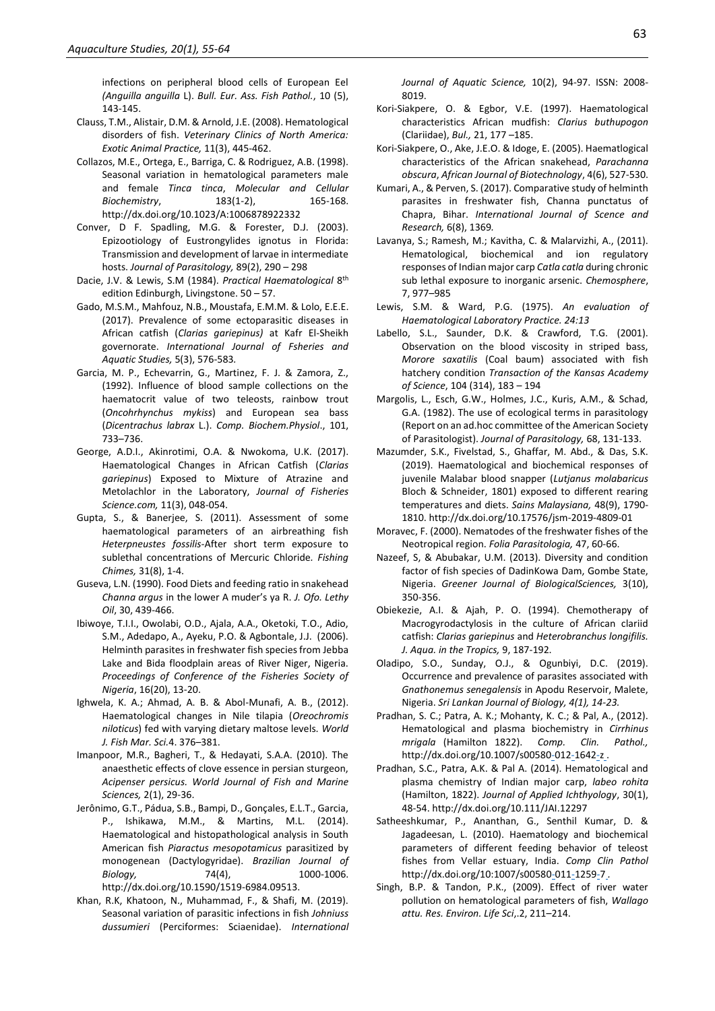infections on peripheral blood cells of European Eel *(Anguilla anguilla* L). *Bull. Eur. Ass. Fish Pathol.*, 10 (5), 143-145.

- Clauss, T.M., Alistair, D.M. & Arnold, J.E. (2008). Hematological disorders of fish. *Veterinary Clinics of North America: Exotic Animal Practice,* 11(3), 445-462.
- Collazos, M.E., Ortega, E., Barriga, C. & Rodriguez, A.B. (1998). Seasonal variation in hematological parameters male and female *Tinca tinca*, *Molecular and Cellular Biochemistry*, 183(1-2), 165-16[8.](http://dx.doi.org/10.1023/A:1006878922332) http://dx.doi.org/10.1023/A:100687892233[2](http://dx.doi.org/10.1023/A:1006878922332)
- Conver, D F. Spadling, M.G. & Forester, D.J. (2003). Epizootiology of Eustrongylides ignotus in Florida: Transmission and development of larvae in intermediate hosts. *Journal of Parasitology,* 89(2), 290 – 298
- Dacie, J.V. & Lewis, S.M (1984). Practical Haematological 8<sup>th</sup> edition Edinburgh, Livingstone. 50 – 57.
- Gado, M.S.M., Mahfouz, N.B., Moustafa, E.M.M. & Lolo, E.E.E. (2017). Prevalence of some ectoparasitic diseases in African catfish (*Clarias gariepinus)* at Kafr El-Sheikh governorate. *International Journal of Fsheries and Aquatic Studies,* 5(3), 576-583*.*
- Garcia, M. P., Echevarrin, G., Martinez, F. J. & Zamora, Z., (1992). Influence of blood sample collections on the haematocrit value of two teleosts, rainbow trout (*Oncohrhynchus mykiss*) and European sea bass (*Dicentrachus labrax* L.). *Comp. Biochem.Physiol*., 101, 733–736.
- George, A.D.I., Akinrotimi, O.A. & Nwokoma, U.K. (2017). Haematological Changes in African Catfish (*Clarias gariepinus*) Exposed to Mixture of Atrazine and Metolachlor in the Laboratory, *Journal of Fisheries Science.com,* 11(3), 048-054.
- Gupta, S., & Banerjee, S. (2011). Assessment of some haematological parameters of an airbreathing fish *Heterpneustes fossilis-*After short term exposure to sublethal concentrations of Mercuric Chloride*. Fishing Chimes,* 31(8), 1-4.
- Guseva, L.N. (1990). Food Diets and feeding ratio in snakehead *Channa argus* in the lower A muder's ya R. *J. Ofo. Lethy Oil*, 30, 439-466.
- Ibiwoye, T.I.I., Owolabi, O.D., Ajala, A.A., Oketoki, T.O., Adio, S.M., Adedapo, A., Ayeku, P.O. & Agbontale, J.J. (2006). Helminth parasites in freshwater fish species from Jebba Lake and Bida floodplain areas of River Niger, Nigeria. *Proceedings of Conference of the Fisheries Society of Nigeria*, 16(20), 13-20.
- Ighwela, K. A.; Ahmad, A. B. & Abol-Munafi, A. B., (2012). Haematological changes in Nile tilapia (*Oreochromis niloticus*) fed with varying dietary maltose levels. *World J. Fish Mar. Sci.*4. 376–381.
- Imanpoor, M.R., Bagheri, T., & Hedayati, S.A.A. (2010). The anaesthetic effects of clove essence in persian sturgeon, *Acipenser persicus. World Journal of Fish and Marine Sciences,* 2(1), 29-36.
- Jerônimo, G.T., Pádua, S.B., Bampi, D., Gonçales, E.L.T., Garcia, P., Ishikawa, M.M., & Martins, M.L. (2014). Haematological and histopathological analysis in South American fish *Piaractus mesopotamicus* parasitized by monogenean (Dactylogyridae). *Brazilian Journal of Biology,* 74(4), 1000-1006. http://dx.doi.org/10.1590/1519-6984.09513.
- Khan, R.K, Khatoon, N., Muhammad, F., & Shafi, M. (2019). Seasonal variation of parasitic infections in fish *Johniuss dussumieri* (Perciformes: Sciaenidae). *International*

*Journal of Aquatic Science,* 10(2), 94-97. ISSN: 2008- 8019.

- Kori-Siakpere, O. & Egbor, V.E. (1997). Haematological characteristics African mudfish: *Clarius buthupogon* (Clariidae), *Bul.,* 21, 177 –185.
- Kori-Siakpere, O., Ake, J.E.O. & Idoge, E. (2005). Haematlogical characteristics of the African snakehead, *Parachanna obscura*, *African Journal of Biotechnology*, 4(6), 527-530.
- Kumari, A., & Perven, S. (2017). Comparative study of helminth parasites in freshwater fish, Channa punctatus of Chapra, Bihar. *International Journal of Scence and Research,* 6(8), 1369*.*
- Lavanya, S.; Ramesh, M.; Kavitha, C. & Malarvizhi, A., (2011). Hematological, biochemical and ion regulatory responses of Indian major carp *Catla catla* during chronic sub lethal exposure to inorganic arsenic. *Chemosphere*, 7, 977–985
- Lewis, S.M. & Ward, P.G. (1975). *An evaluation of Haematological Laboratory Practice. 24:13*
- Labello, S.L., Saunder, D.K. & Crawford, T.G. (2001). Observation on the blood viscosity in striped bass, *Morore saxatilis* (Coal baum) associated with fish hatchery condition *Transaction of the Kansas Academy of Science*, 104 (314), 183 – 194
- Margolis, L., Esch, G.W., Holmes, J.C., Kuris, A.M., & Schad, G.A. (1982). The use of ecological terms in parasitology (Report on an ad.hoc committee of the American Society of Parasitologist). *Journal of Parasitology,* 68, 131-133.
- Mazumder, S.K., Fivelstad, S., Ghaffar, M. Abd., & Das, S.K. (2019). Haematological and biochemical responses of juvenile Malabar blood snapper (*Lutjanus molabaricus*  Bloch & Schneider, 1801) exposed to different rearing temperatures and diets. *Sains Malaysiana,* 48(9), 1790- 1810. http://dx.doi.org/10.17576/jsm-2019-4809-01
- Moravec, F. (2000). Nematodes of the freshwater fishes of the Neotropical region. *Folia Parasitologia,* 47, 60-66.
- Nazeef, S, & Abubakar, U.M. (2013). Diversity and condition factor of fish species of DadinKowa Dam, Gombe State, Nigeria. *Greener Journal of BiologicalSciences,* 3(10), 350-356.
- Obiekezie, A.I. & Ajah, P. O. (1994). Chemotherapy of Macrogyrodactylosis in the culture of African clariid catfish: *Clarias gariepinus* and *Heterobranchus longifilis. J. Aqua. in the Tropics,* 9, 187-192.
- Oladipo, S.O., Sunday, O.J., & Ogunbiyi, D.C. (2019). Occurrence and prevalence of parasites associated with *Gnathonemus senegalensis* in Apodu Reservoir, Malete, Nigeria. *Sri Lankan Journal of Biology, 4(1), 14-23.*
- Pradhan, S. C.; Patra, A. K.; Mohanty, K. C.; & Pal, A., (2012). Hematological and plasma biochemistry in *Cirrhinus mrigala* (Hamilton 1822). *Comp. Clin. Pathol.,*  http://dx.doi.org/10.1007/s0058[0-0](http://dx.doi.org/10.1007/s00580-012-1642-z)1[2-1](http://dx.doi.org/10.1007/s00580-012-1642-z)64[2-z](http://dx.doi.org/10.1007/s00580-012-1642-z)..
- Pradhan, S.C., Patra, A.K. & Pal A. (2014). Hematological and plasma chemistry of Indian major carp, *labeo rohita*  (Hamilton, 1822). *Journal of Applied Ichthyology*, 30(1), 48-54. http://dx.doi.org/10.111/JAI.1229[7](http://dx.doi.org/10.111/JAI.12297)
- Satheeshkumar, P., Ananthan, G., Senthil Kumar, D. & Jagadeesan, L. (2010). Haematology and biochemical parameters of different feeding behavior of teleost fishes from Vellar estuary, India. *Comp Clin Pathol*  http://dx.doi.org/10:1007/s0058[0-0](http://dx.doi.org/10:1007/s00580-011-1259-7)1[1-1](http://dx.doi.org/10:1007/s00580-011-1259-7)25[9-7](http://dx.doi.org/10:1007/s00580-011-1259-7) *.*
- Singh, B.P. & Tandon, P.K., (2009). Effect of river water pollution on hematological parameters of fish, *Wallago attu. Res. Environ. Life Sci*,.2, 211–214.